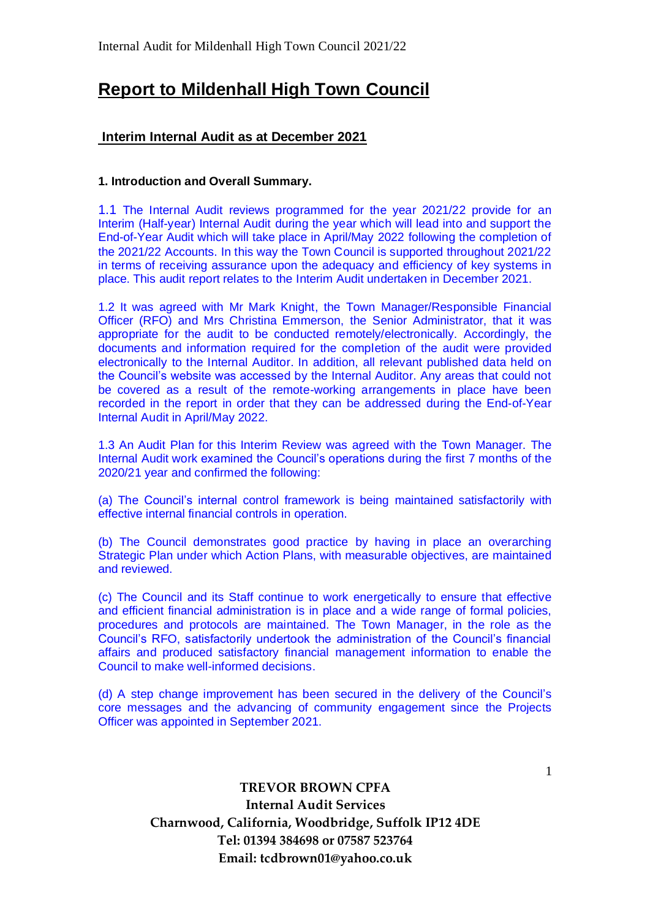# **Report to Mildenhall High Town Council**

## **Interim Internal Audit as at December 2021**

### **1. Introduction and Overall Summary.**

1.1 The Internal Audit reviews programmed for the year 2021/22 provide for an Interim (Half-year) Internal Audit during the year which will lead into and support the End-of-Year Audit which will take place in April/May 2022 following the completion of the 2021/22 Accounts. In this way the Town Council is supported throughout 2021/22 in terms of receiving assurance upon the adequacy and efficiency of key systems in place. This audit report relates to the Interim Audit undertaken in December 2021.

1.2 It was agreed with Mr Mark Knight, the Town Manager/Responsible Financial Officer (RFO) and Mrs Christina Emmerson, the Senior Administrator, that it was appropriate for the audit to be conducted remotely/electronically. Accordingly, the documents and information required for the completion of the audit were provided electronically to the Internal Auditor. In addition, all relevant published data held on the Council's website was accessed by the Internal Auditor. Any areas that could not be covered as a result of the remote-working arrangements in place have been recorded in the report in order that they can be addressed during the End-of-Year Internal Audit in April/May 2022.

1.3 An Audit Plan for this Interim Review was agreed with the Town Manager. The Internal Audit work examined the Council's operations during the first 7 months of the 2020/21 year and confirmed the following:

(a) The Council's internal control framework is being maintained satisfactorily with effective internal financial controls in operation.

(b) The Council demonstrates good practice by having in place an overarching Strategic Plan under which Action Plans, with measurable objectives, are maintained and reviewed.

(c) The Council and its Staff continue to work energetically to ensure that effective and efficient financial administration is in place and a wide range of formal policies, procedures and protocols are maintained. The Town Manager, in the role as the Council's RFO, satisfactorily undertook the administration of the Council's financial affairs and produced satisfactory financial management information to enable the Council to make well-informed decisions.

(d) A step change improvement has been secured in the delivery of the Council's core messages and the advancing of community engagement since the Projects Officer was appointed in September 2021.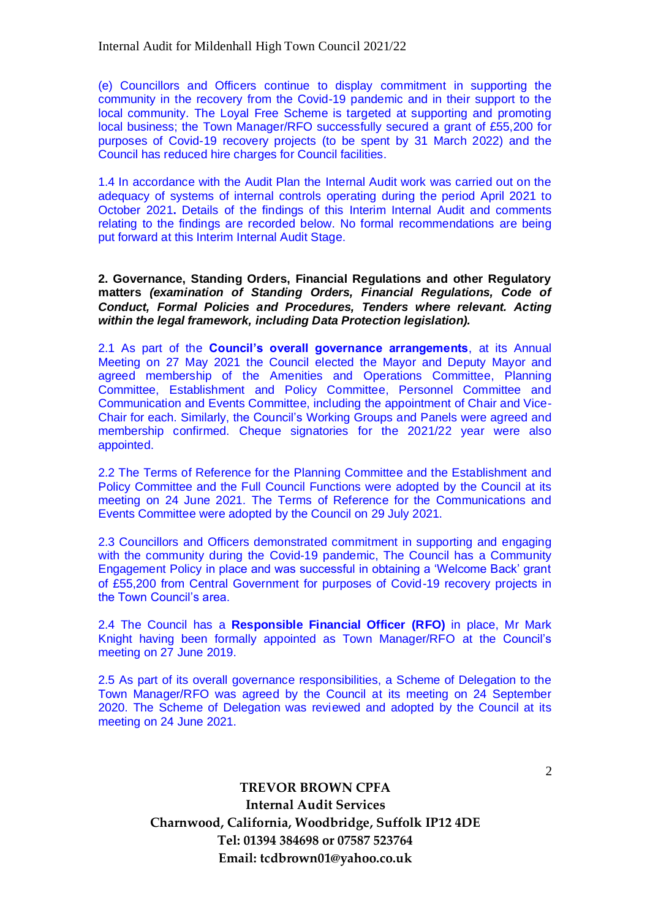(e) Councillors and Officers continue to display commitment in supporting the community in the recovery from the Covid-19 pandemic and in their support to the local community. The Loyal Free Scheme is targeted at supporting and promoting local business; the Town Manager/RFO successfully secured a grant of £55,200 for purposes of Covid-19 recovery projects (to be spent by 31 March 2022) and the Council has reduced hire charges for Council facilities.

1.4 In accordance with the Audit Plan the Internal Audit work was carried out on the adequacy of systems of internal controls operating during the period April 2021 to October 2021**.** Details of the findings of this Interim Internal Audit and comments relating to the findings are recorded below. No formal recommendations are being put forward at this Interim Internal Audit Stage.

**2. Governance, Standing Orders, Financial Regulations and other Regulatory matters** *(examination of Standing Orders, Financial Regulations, Code of Conduct, Formal Policies and Procedures, Tenders where relevant. Acting within the legal framework, including Data Protection legislation).*

2.1 As part of the **Council's overall governance arrangements**, at its Annual Meeting on 27 May 2021 the Council elected the Mayor and Deputy Mayor and agreed membership of the Amenities and Operations Committee, Planning Committee, Establishment and Policy Committee, Personnel Committee and Communication and Events Committee, including the appointment of Chair and Vice-Chair for each. Similarly, the Council's Working Groups and Panels were agreed and membership confirmed. Cheque signatories for the 2021/22 year were also appointed.

2.2 The Terms of Reference for the Planning Committee and the Establishment and Policy Committee and the Full Council Functions were adopted by the Council at its meeting on 24 June 2021. The Terms of Reference for the Communications and Events Committee were adopted by the Council on 29 July 2021.

2.3 Councillors and Officers demonstrated commitment in supporting and engaging with the community during the Covid-19 pandemic, The Council has a Community Engagement Policy in place and was successful in obtaining a 'Welcome Back' grant of £55,200 from Central Government for purposes of Covid-19 recovery projects in the Town Council's area.

2.4 The Council has a **Responsible Financial Officer (RFO)** in place, Mr Mark Knight having been formally appointed as Town Manager/RFO at the Council's meeting on 27 June 2019.

2.5 As part of its overall governance responsibilities, a Scheme of Delegation to the Town Manager/RFO was agreed by the Council at its meeting on 24 September 2020. The Scheme of Delegation was reviewed and adopted by the Council at its meeting on 24 June 2021.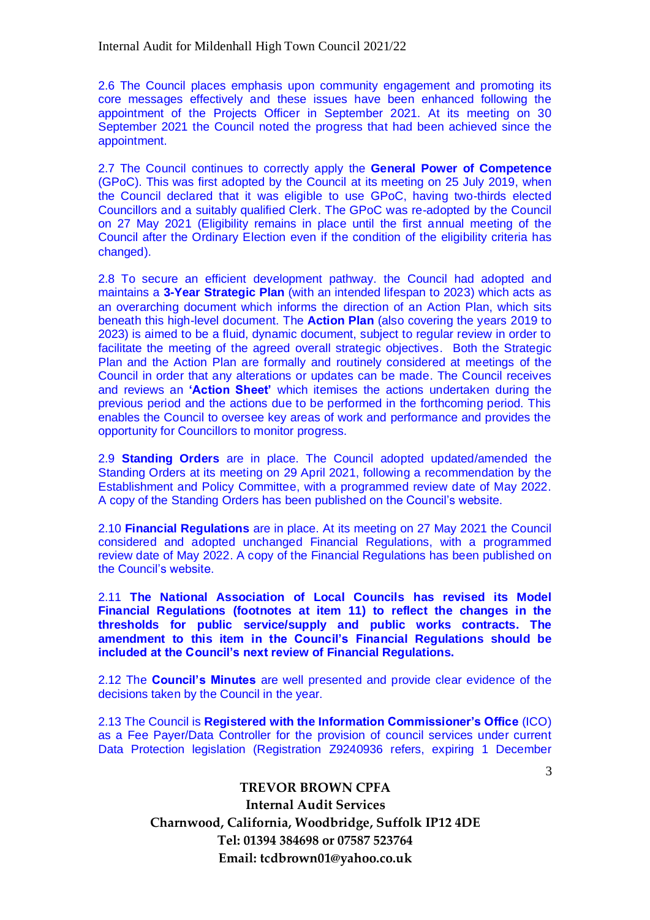2.6 The Council places emphasis upon community engagement and promoting its core messages effectively and these issues have been enhanced following the appointment of the Projects Officer in September 2021. At its meeting on 30 September 2021 the Council noted the progress that had been achieved since the appointment.

2.7 The Council continues to correctly apply the **General Power of Competence** (GPoC). This was first adopted by the Council at its meeting on 25 July 2019, when the Council declared that it was eligible to use GPoC, having two-thirds elected Councillors and a suitably qualified Clerk. The GPoC was re-adopted by the Council on 27 May 2021 (Eligibility remains in place until the first annual meeting of the Council after the Ordinary Election even if the condition of the eligibility criteria has changed).

2.8 To secure an efficient development pathway. the Council had adopted and maintains a **3-Year Strategic Plan** (with an intended lifespan to 2023) which acts as an overarching document which informs the direction of an Action Plan, which sits beneath this high-level document. The **Action Plan** (also covering the years 2019 to 2023) is aimed to be a fluid, dynamic document, subject to regular review in order to facilitate the meeting of the agreed overall strategic objectives. Both the Strategic Plan and the Action Plan are formally and routinely considered at meetings of the Council in order that any alterations or updates can be made. The Council receives and reviews an **'Action Sheet'** which itemises the actions undertaken during the previous period and the actions due to be performed in the forthcoming period. This enables the Council to oversee key areas of work and performance and provides the opportunity for Councillors to monitor progress.

2.9 **Standing Orders** are in place. The Council adopted updated/amended the Standing Orders at its meeting on 29 April 2021, following a recommendation by the Establishment and Policy Committee, with a programmed review date of May 2022. A copy of the Standing Orders has been published on the Council's website.

2.10 **Financial Regulations** are in place. At its meeting on 27 May 2021 the Council considered and adopted unchanged Financial Regulations, with a programmed review date of May 2022. A copy of the Financial Regulations has been published on the Council's website.

2.11 **The National Association of Local Councils has revised its Model Financial Regulations (footnotes at item 11) to reflect the changes in the thresholds for public service/supply and public works contracts. The amendment to this item in the Council's Financial Regulations should be included at the Council's next review of Financial Regulations.**

2.12 The **Council's Minutes** are well presented and provide clear evidence of the decisions taken by the Council in the year.

2.13 The Council is **Registered with the Information Commissioner's Office** (ICO) as a Fee Payer/Data Controller for the provision of council services under current Data Protection legislation (Registration Z9240936 refers, expiring 1 December

> **TREVOR BROWN CPFA Internal Audit Services Charnwood, California, Woodbridge, Suffolk IP12 4DE Tel: 01394 384698 or 07587 523764 Email: tcdbrown01@yahoo.co.uk**

3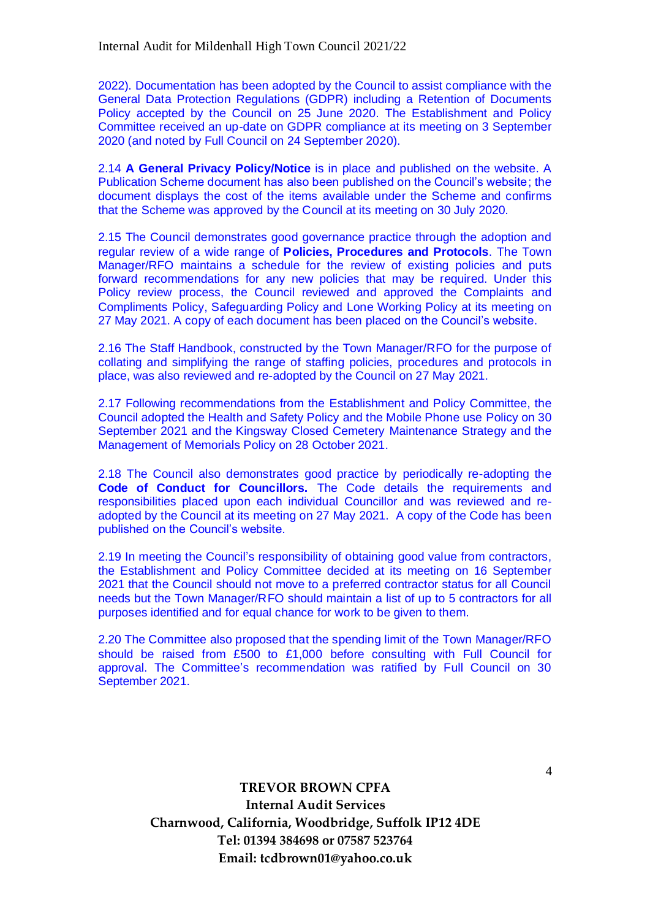2022). Documentation has been adopted by the Council to assist compliance with the General Data Protection Regulations (GDPR) including a Retention of Documents Policy accepted by the Council on 25 June 2020. The Establishment and Policy Committee received an up-date on GDPR compliance at its meeting on 3 September 2020 (and noted by Full Council on 24 September 2020).

2.14 **A General Privacy Policy/Notice** is in place and published on the website. A Publication Scheme document has also been published on the Council's website; the document displays the cost of the items available under the Scheme and confirms that the Scheme was approved by the Council at its meeting on 30 July 2020.

2.15 The Council demonstrates good governance practice through the adoption and regular review of a wide range of **Policies, Procedures and Protocols**. The Town Manager/RFO maintains a schedule for the review of existing policies and puts forward recommendations for any new policies that may be required. Under this Policy review process, the Council reviewed and approved the Complaints and Compliments Policy, Safeguarding Policy and Lone Working Policy at its meeting on 27 May 2021. A copy of each document has been placed on the Council's website.

2.16 The Staff Handbook, constructed by the Town Manager/RFO for the purpose of collating and simplifying the range of staffing policies, procedures and protocols in place, was also reviewed and re-adopted by the Council on 27 May 2021.

2.17 Following recommendations from the Establishment and Policy Committee, the Council adopted the Health and Safety Policy and the Mobile Phone use Policy on 30 September 2021 and the Kingsway Closed Cemetery Maintenance Strategy and the Management of Memorials Policy on 28 October 2021.

2.18 The Council also demonstrates good practice by periodically re-adopting the **Code of Conduct for Councillors.** The Code details the requirements and responsibilities placed upon each individual Councillor and was reviewed and readopted by the Council at its meeting on 27 May 2021. A copy of the Code has been published on the Council's website.

2.19 In meeting the Council's responsibility of obtaining good value from contractors, the Establishment and Policy Committee decided at its meeting on 16 September 2021 that the Council should not move to a preferred contractor status for all Council needs but the Town Manager/RFO should maintain a list of up to 5 contractors for all purposes identified and for equal chance for work to be given to them.

2.20 The Committee also proposed that the spending limit of the Town Manager/RFO should be raised from £500 to £1,000 before consulting with Full Council for approval. The Committee's recommendation was ratified by Full Council on 30 September 2021.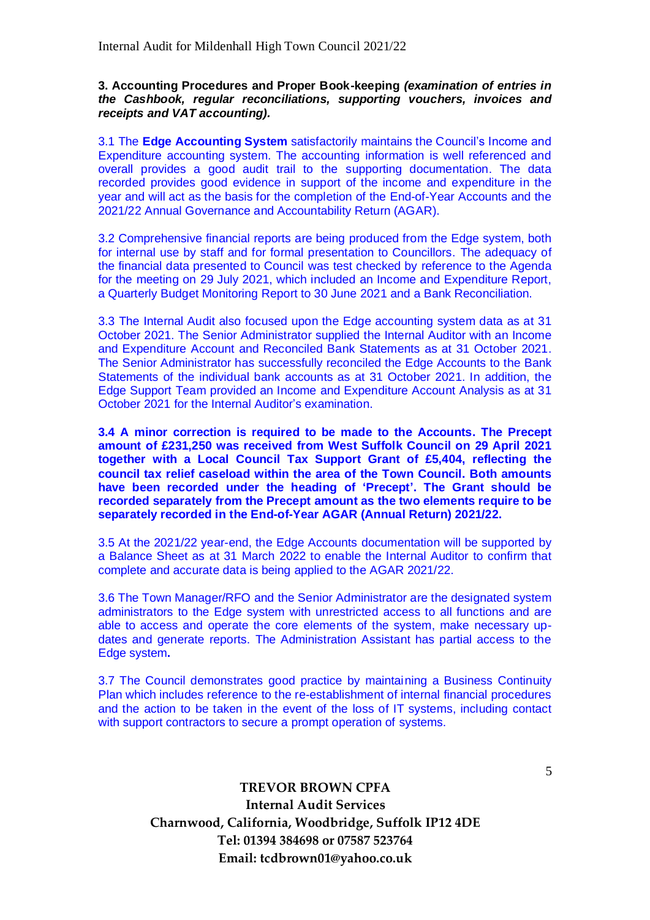### **3. Accounting Procedures and Proper Book-keeping** *(examination of entries in the Cashbook, regular reconciliations, supporting vouchers, invoices and receipts and VAT accounting).*

3.1 The **Edge Accounting System** satisfactorily maintains the Council's Income and Expenditure accounting system. The accounting information is well referenced and overall provides a good audit trail to the supporting documentation. The data recorded provides good evidence in support of the income and expenditure in the year and will act as the basis for the completion of the End-of-Year Accounts and the 2021/22 Annual Governance and Accountability Return (AGAR).

3.2 Comprehensive financial reports are being produced from the Edge system, both for internal use by staff and for formal presentation to Councillors. The adequacy of the financial data presented to Council was test checked by reference to the Agenda for the meeting on 29 July 2021, which included an Income and Expenditure Report, a Quarterly Budget Monitoring Report to 30 June 2021 and a Bank Reconciliation.

3.3 The Internal Audit also focused upon the Edge accounting system data as at 31 October 2021. The Senior Administrator supplied the Internal Auditor with an Income and Expenditure Account and Reconciled Bank Statements as at 31 October 2021. The Senior Administrator has successfully reconciled the Edge Accounts to the Bank Statements of the individual bank accounts as at 31 October 2021. In addition, the Edge Support Team provided an Income and Expenditure Account Analysis as at 31 October 2021 for the Internal Auditor's examination.

**3.4 A minor correction is required to be made to the Accounts. The Precept amount of £231,250 was received from West Suffolk Council on 29 April 2021 together with a Local Council Tax Support Grant of £5,404, reflecting the council tax relief caseload within the area of the Town Council. Both amounts have been recorded under the heading of 'Precept'. The Grant should be recorded separately from the Precept amount as the two elements require to be separately recorded in the End-of-Year AGAR (Annual Return) 2021/22.**

3.5 At the 2021/22 year-end, the Edge Accounts documentation will be supported by a Balance Sheet as at 31 March 2022 to enable the Internal Auditor to confirm that complete and accurate data is being applied to the AGAR 2021/22.

3.6 The Town Manager/RFO and the Senior Administrator are the designated system administrators to the Edge system with unrestricted access to all functions and are able to access and operate the core elements of the system, make necessary updates and generate reports. The Administration Assistant has partial access to the Edge system**.**

3.7 The Council demonstrates good practice by maintaining a Business Continuity Plan which includes reference to the re-establishment of internal financial procedures and the action to be taken in the event of the loss of IT systems, including contact with support contractors to secure a prompt operation of systems.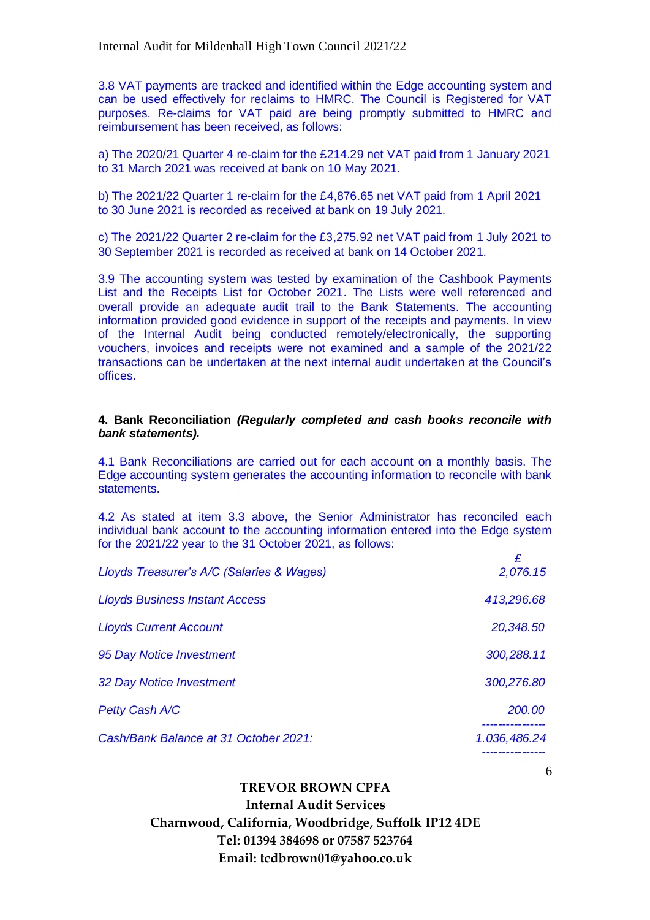3.8 VAT payments are tracked and identified within the Edge accounting system and can be used effectively for reclaims to HMRC. The Council is Registered for VAT purposes. Re-claims for VAT paid are being promptly submitted to HMRC and reimbursement has been received, as follows:

a) The 2020/21 Quarter 4 re-claim for the £214.29 net VAT paid from 1 January 2021 to 31 March 2021 was received at bank on 10 May 2021.

b) The 2021/22 Quarter 1 re-claim for the £4,876.65 net VAT paid from 1 April 2021 to 30 June 2021 is recorded as received at bank on 19 July 2021.

c) The 2021/22 Quarter 2 re-claim for the £3,275.92 net VAT paid from 1 July 2021 to 30 September 2021 is recorded as received at bank on 14 October 2021.

3.9 The accounting system was tested by examination of the Cashbook Payments List and the Receipts List for October 2021. The Lists were well referenced and overall provide an adequate audit trail to the Bank Statements. The accounting information provided good evidence in support of the receipts and payments. In view of the Internal Audit being conducted remotely/electronically, the supporting vouchers, invoices and receipts were not examined and a sample of the 2021/22 transactions can be undertaken at the next internal audit undertaken at the Council's offices.

#### **4. Bank Reconciliation** *(Regularly completed and cash books reconcile with bank statements).*

4.1 Bank Reconciliations are carried out for each account on a monthly basis. The Edge accounting system generates the accounting information to reconcile with bank statements.

4.2 As stated at item 3.3 above, the Senior Administrator has reconciled each individual bank account to the accounting information entered into the Edge system for the 2021/22 year to the 31 October 2021, as follows:

| Lloyds Treasurer's A/C (Salaries & Wages) | 2,076.15     |
|-------------------------------------------|--------------|
| <b>Lloyds Business Instant Access</b>     | 413,296.68   |
| <b>Lloyds Current Account</b>             | 20,348.50    |
| 95 Day Notice Investment                  | 300,288.11   |
| 32 Day Notice Investment                  | 300,276.80   |
| Petty Cash A/C                            | 200.00       |
| Cash/Bank Balance at 31 October 2021:     | 1.036,486.24 |

**TREVOR BROWN CPFA Internal Audit Services Charnwood, California, Woodbridge, Suffolk IP12 4DE Tel: 01394 384698 or 07587 523764 Email: tcdbrown01@yahoo.co.uk**

6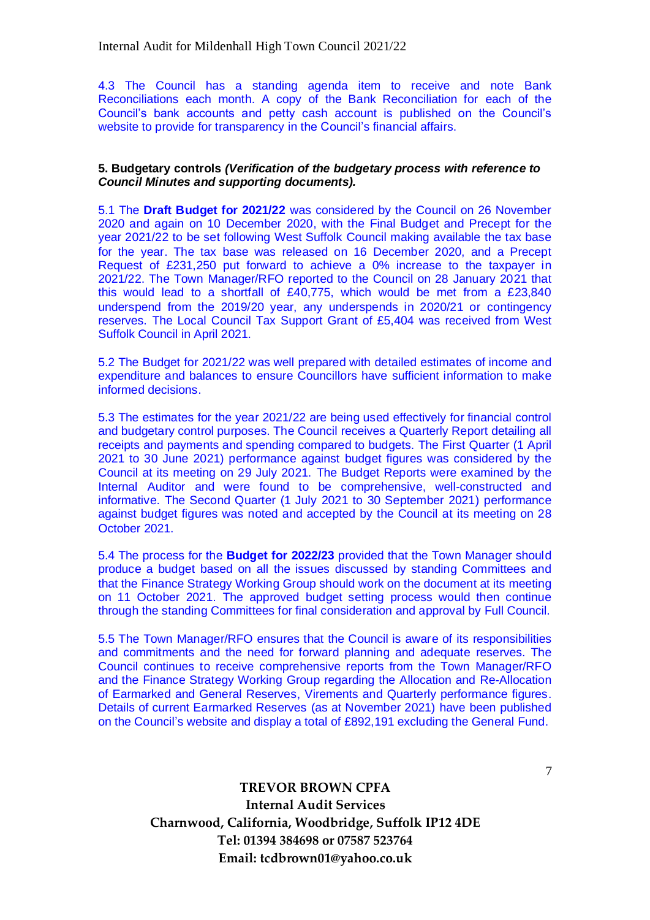4.3 The Council has a standing agenda item to receive and note Bank Reconciliations each month. A copy of the Bank Reconciliation for each of the Council's bank accounts and petty cash account is published on the Council's website to provide for transparency in the Council's financial affairs.

#### **5. Budgetary controls** *(Verification of the budgetary process with reference to Council Minutes and supporting documents).*

5.1 The **Draft Budget for 2021/22** was considered by the Council on 26 November 2020 and again on 10 December 2020, with the Final Budget and Precept for the year 2021/22 to be set following West Suffolk Council making available the tax base for the year. The tax base was released on 16 December 2020, and a Precept Request of £231,250 put forward to achieve a 0% increase to the taxpayer in 2021/22. The Town Manager/RFO reported to the Council on 28 January 2021 that this would lead to a shortfall of £40,775, which would be met from a £23,840 underspend from the 2019/20 year, any underspends in 2020/21 or contingency reserves. The Local Council Tax Support Grant of £5,404 was received from West Suffolk Council in April 2021.

5.2 The Budget for 2021/22 was well prepared with detailed estimates of income and expenditure and balances to ensure Councillors have sufficient information to make informed decisions.

5.3 The estimates for the year 2021/22 are being used effectively for financial control and budgetary control purposes. The Council receives a Quarterly Report detailing all receipts and payments and spending compared to budgets. The First Quarter (1 April 2021 to 30 June 2021) performance against budget figures was considered by the Council at its meeting on 29 July 2021. The Budget Reports were examined by the Internal Auditor and were found to be comprehensive, well-constructed and informative. The Second Quarter (1 July 2021 to 30 September 2021) performance against budget figures was noted and accepted by the Council at its meeting on 28 October 2021.

5.4 The process for the **Budget for 2022/23** provided that the Town Manager should produce a budget based on all the issues discussed by standing Committees and that the Finance Strategy Working Group should work on the document at its meeting on 11 October 2021. The approved budget setting process would then continue through the standing Committees for final consideration and approval by Full Council.

5.5 The Town Manager/RFO ensures that the Council is aware of its responsibilities and commitments and the need for forward planning and adequate reserves. The Council continues to receive comprehensive reports from the Town Manager/RFO and the Finance Strategy Working Group regarding the Allocation and Re-Allocation of Earmarked and General Reserves, Virements and Quarterly performance figures. Details of current Earmarked Reserves (as at November 2021) have been published on the Council's website and display a total of £892,191 excluding the General Fund.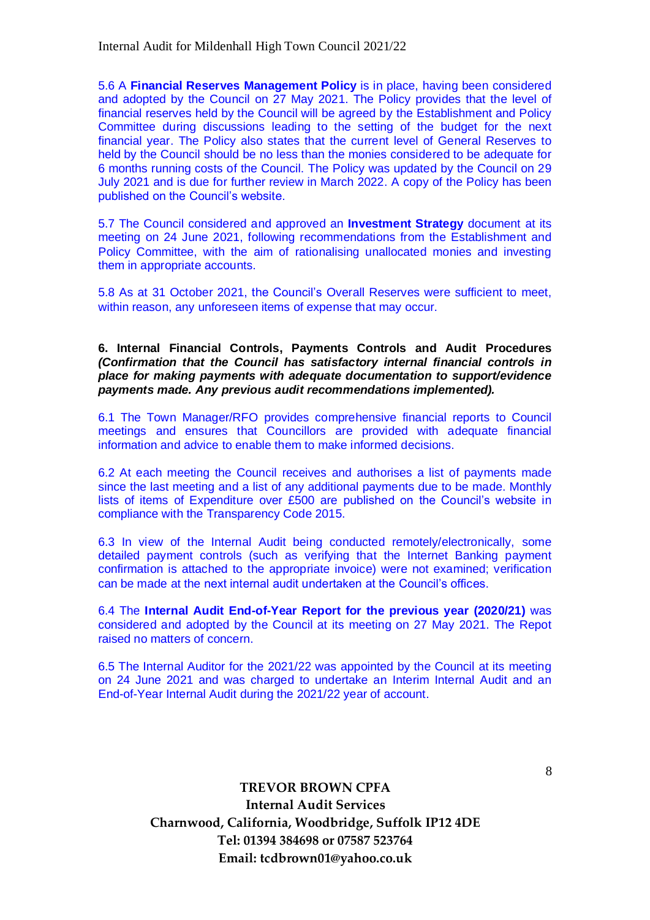5.6 A **Financial Reserves Management Policy** is in place, having been considered and adopted by the Council on 27 May 2021. The Policy provides that the level of financial reserves held by the Council will be agreed by the Establishment and Policy Committee during discussions leading to the setting of the budget for the next financial year. The Policy also states that the current level of General Reserves to held by the Council should be no less than the monies considered to be adequate for 6 months running costs of the Council. The Policy was updated by the Council on 29 July 2021 and is due for further review in March 2022. A copy of the Policy has been published on the Council's website.

5.7 The Council considered and approved an **Investment Strategy** document at its meeting on 24 June 2021, following recommendations from the Establishment and Policy Committee, with the aim of rationalising unallocated monies and investing them in appropriate accounts.

5.8 As at 31 October 2021, the Council's Overall Reserves were sufficient to meet, within reason, any unforeseen items of expense that may occur.

**6. Internal Financial Controls, Payments Controls and Audit Procedures**  *(Confirmation that the Council has satisfactory internal financial controls in place for making payments with adequate documentation to support/evidence payments made. Any previous audit recommendations implemented).*

6.1 The Town Manager/RFO provides comprehensive financial reports to Council meetings and ensures that Councillors are provided with adequate financial information and advice to enable them to make informed decisions.

6.2 At each meeting the Council receives and authorises a list of payments made since the last meeting and a list of any additional payments due to be made. Monthly lists of items of Expenditure over £500 are published on the Council's website in compliance with the Transparency Code 2015.

6.3 In view of the Internal Audit being conducted remotely/electronically, some detailed payment controls (such as verifying that the Internet Banking payment confirmation is attached to the appropriate invoice) were not examined; verification can be made at the next internal audit undertaken at the Council's offices.

6.4 The **Internal Audit End-of-Year Report for the previous year (2020/21)** was considered and adopted by the Council at its meeting on 27 May 2021. The Repot raised no matters of concern.

6.5 The Internal Auditor for the 2021/22 was appointed by the Council at its meeting on 24 June 2021 and was charged to undertake an Interim Internal Audit and an End-of-Year Internal Audit during the 2021/22 year of account.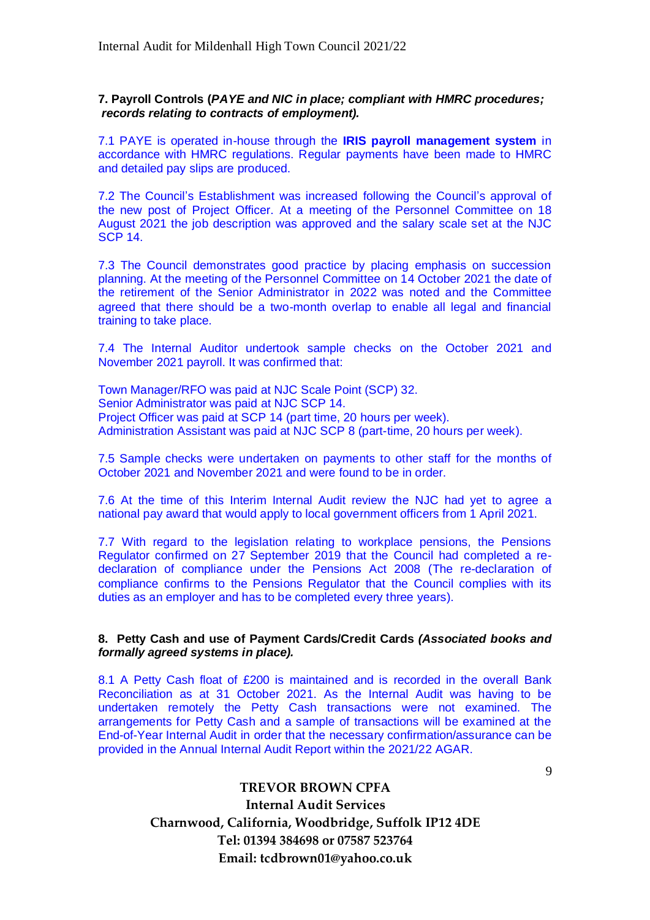**7. Payroll Controls (***PAYE and NIC in place; compliant with HMRC procedures; records relating to contracts of employment).*

7.1 PAYE is operated in-house through the **IRIS payroll management system** in accordance with HMRC regulations. Regular payments have been made to HMRC and detailed pay slips are produced.

7.2 The Council's Establishment was increased following the Council's approval of the new post of Project Officer. At a meeting of the Personnel Committee on 18 August 2021 the job description was approved and the salary scale set at the NJC SCP 14.

7.3 The Council demonstrates good practice by placing emphasis on succession planning. At the meeting of the Personnel Committee on 14 October 2021 the date of the retirement of the Senior Administrator in 2022 was noted and the Committee agreed that there should be a two-month overlap to enable all legal and financial training to take place.

7.4 The Internal Auditor undertook sample checks on the October 2021 and November 2021 payroll. It was confirmed that:

Town Manager/RFO was paid at NJC Scale Point (SCP) 32. Senior Administrator was paid at NJC SCP 14. Project Officer was paid at SCP 14 (part time, 20 hours per week). Administration Assistant was paid at NJC SCP 8 (part-time, 20 hours per week).

7.5 Sample checks were undertaken on payments to other staff for the months of October 2021 and November 2021 and were found to be in order.

7.6 At the time of this Interim Internal Audit review the NJC had yet to agree a national pay award that would apply to local government officers from 1 April 2021.

7.7 With regard to the legislation relating to workplace pensions, the Pensions Regulator confirmed on 27 September 2019 that the Council had completed a redeclaration of compliance under the Pensions Act 2008 (The re-declaration of compliance confirms to the Pensions Regulator that the Council complies with its duties as an employer and has to be completed every three years).

#### **8. Petty Cash and use of Payment Cards/Credit Cards** *(Associated books and formally agreed systems in place).*

8.1 A Petty Cash float of £200 is maintained and is recorded in the overall Bank Reconciliation as at 31 October 2021. As the Internal Audit was having to be undertaken remotely the Petty Cash transactions were not examined. The arrangements for Petty Cash and a sample of transactions will be examined at the End-of-Year Internal Audit in order that the necessary confirmation/assurance can be provided in the Annual Internal Audit Report within the 2021/22 AGAR.

9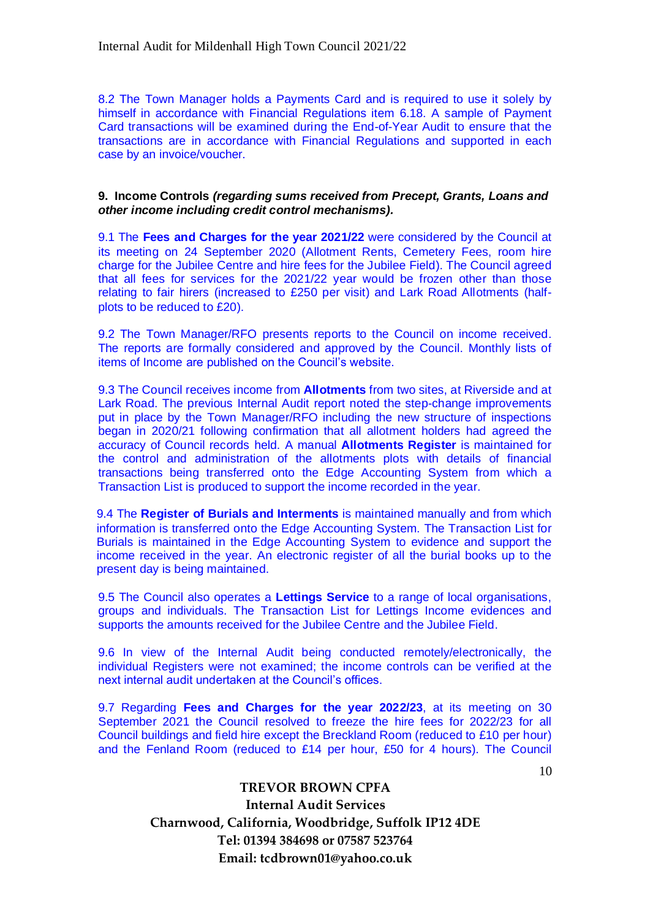8.2 The Town Manager holds a Payments Card and is required to use it solely by himself in accordance with Financial Regulations item 6.18. A sample of Payment Card transactions will be examined during the End-of-Year Audit to ensure that the transactions are in accordance with Financial Regulations and supported in each case by an invoice/voucher.

#### **9. Income Controls** *(regarding sums received from Precept, Grants, Loans and other income including credit control mechanisms).*

9.1 The **Fees and Charges for the year 2021/22** were considered by the Council at its meeting on 24 September 2020 (Allotment Rents, Cemetery Fees, room hire charge for the Jubilee Centre and hire fees for the Jubilee Field). The Council agreed that all fees for services for the 2021/22 year would be frozen other than those relating to fair hirers (increased to £250 per visit) and Lark Road Allotments (halfplots to be reduced to £20).

9.2 The Town Manager/RFO presents reports to the Council on income received. The reports are formally considered and approved by the Council. Monthly lists of items of Income are published on the Council's website.

9.3 The Council receives income from **Allotments** from two sites, at Riverside and at Lark Road. The previous Internal Audit report noted the step-change improvements put in place by the Town Manager/RFO including the new structure of inspections began in 2020/21 following confirmation that all allotment holders had agreed the accuracy of Council records held. A manual **Allotments Register** is maintained for the control and administration of the allotments plots with details of financial transactions being transferred onto the Edge Accounting System from which a Transaction List is produced to support the income recorded in the year.

9.4 The **Register of Burials and Interments** is maintained manually and from which information is transferred onto the Edge Accounting System. The Transaction List for Burials is maintained in the Edge Accounting System to evidence and support the income received in the year. An electronic register of all the burial books up to the present day is being maintained.

9.5 The Council also operates a **Lettings Service** to a range of local organisations, groups and individuals. The Transaction List for Lettings Income evidences and supports the amounts received for the Jubilee Centre and the Jubilee Field.

9.6 In view of the Internal Audit being conducted remotely/electronically, the individual Registers were not examined; the income controls can be verified at the next internal audit undertaken at the Council's offices.

9.7 Regarding **Fees and Charges for the year 2022/23**, at its meeting on 30 September 2021 the Council resolved to freeze the hire fees for 2022/23 for all Council buildings and field hire except the Breckland Room (reduced to £10 per hour) and the Fenland Room (reduced to £14 per hour, £50 for 4 hours). The Council

10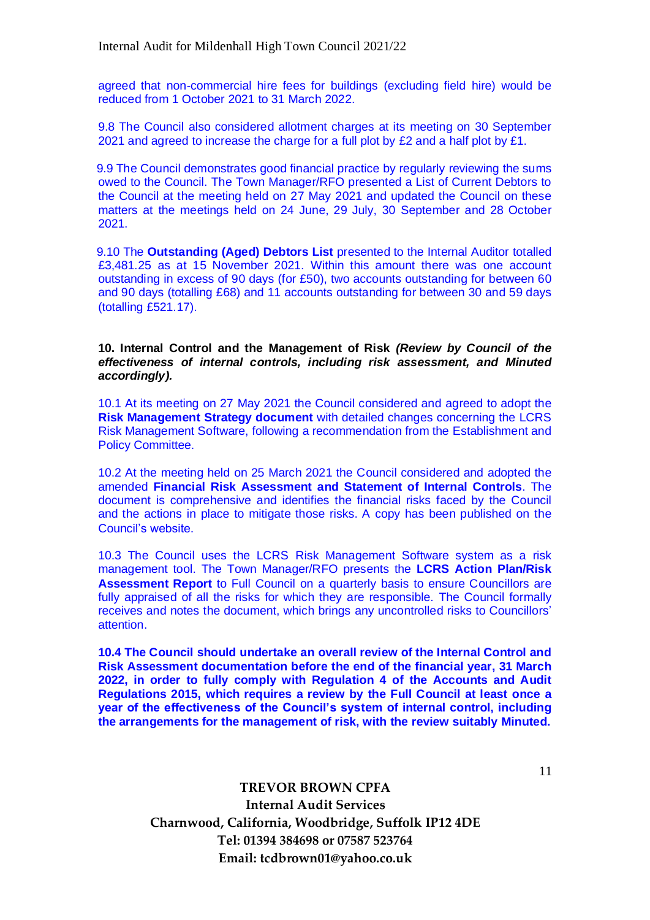agreed that non-commercial hire fees for buildings (excluding field hire) would be reduced from 1 October 2021 to 31 March 2022.

9.8 The Council also considered allotment charges at its meeting on 30 September 2021 and agreed to increase the charge for a full plot by  $£2$  and a half plot by  $£1$ .

9.9 The Council demonstrates good financial practice by regularly reviewing the sums owed to the Council. The Town Manager/RFO presented a List of Current Debtors to the Council at the meeting held on  $27$  May 2021 and updated the Council on these matters at the meetings held on 24 June, 29 July, 30 September and 28 October 2021.

9.10 The **Outstanding (Aged) Debtors List** presented to the Internal Auditor totalled £3,481.25 as at 15 November 2021. Within this amount there was one account outstanding in excess of 90 days (for £50), two accounts outstanding for between 60 and 90 days (totalling £68) and 11 accounts outstanding for between 30 and 59 days (totalling £521.17).

**10. Internal Control and the Management of Risk** *(Review by Council of the effectiveness of internal controls, including risk assessment, and Minuted accordingly).*

10.1 At its meeting on 27 May 2021 the Council considered and agreed to adopt the **Risk Management Strategy document** with detailed changes concerning the LCRS Risk Management Software, following a recommendation from the Establishment and Policy Committee.

10.2 At the meeting held on 25 March 2021 the Council considered and adopted the amended **Financial Risk Assessment and Statement of Internal Controls**. The document is comprehensive and identifies the financial risks faced by the Council and the actions in place to mitigate those risks. A copy has been published on the Council's website.

10.3 The Council uses the LCRS Risk Management Software system as a risk management tool. The Town Manager/RFO presents the **LCRS Action Plan/Risk Assessment Report** to Full Council on a quarterly basis to ensure Councillors are fully appraised of all the risks for which they are responsible. The Council formally receives and notes the document, which brings any uncontrolled risks to Councillors' attention.

**10.4 The Council should undertake an overall review of the Internal Control and Risk Assessment documentation before the end of the financial year, 31 March 2022, in order to fully comply with Regulation 4 of the Accounts and Audit Regulations 2015, which requires a review by the Full Council at least once a year of the effectiveness of the Council's system of internal control, including the arrangements for the management of risk, with the review suitably Minuted.**

11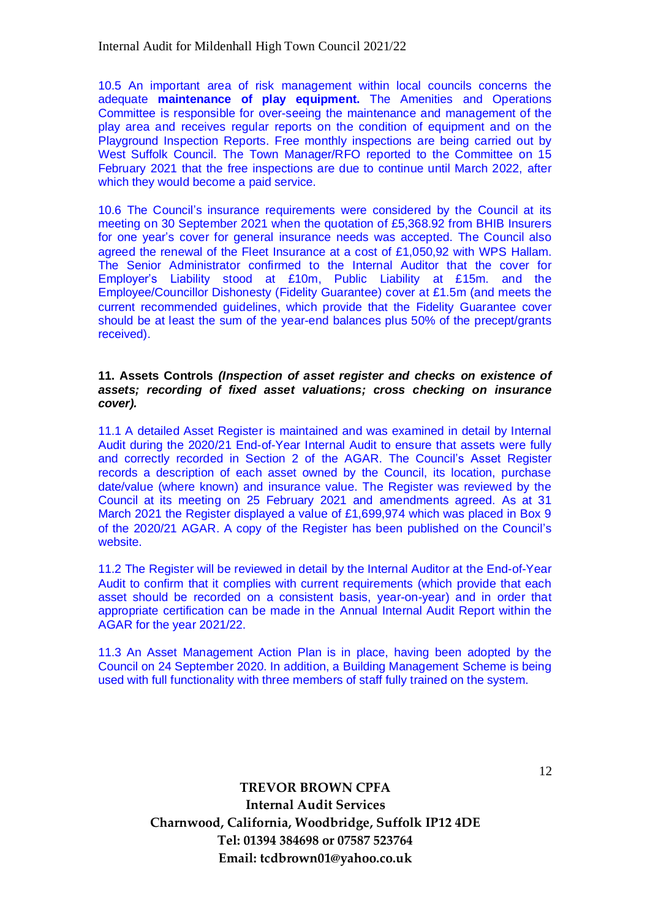10.5 An important area of risk management within local councils concerns the adequate **maintenance of play equipment.** The Amenities and Operations Committee is responsible for over-seeing the maintenance and management of the play area and receives regular reports on the condition of equipment and on the Playground Inspection Reports. Free monthly inspections are being carried out by West Suffolk Council. The Town Manager/RFO reported to the Committee on 15 February 2021 that the free inspections are due to continue until March 2022, after which they would become a paid service.

10.6 The Council's insurance requirements were considered by the Council at its meeting on 30 September 2021 when the quotation of £5,368.92 from BHIB Insurers for one year's cover for general insurance needs was accepted. The Council also agreed the renewal of the Fleet Insurance at a cost of £1,050,92 with WPS Hallam. The Senior Administrator confirmed to the Internal Auditor that the cover for Employer's Liability stood at £10m, Public Liability at £15m. and the Employee/Councillor Dishonesty (Fidelity Guarantee) cover at £1.5m (and meets the current recommended guidelines, which provide that the Fidelity Guarantee cover should be at least the sum of the year-end balances plus 50% of the precept/grants received).

#### **11. Assets Controls** *(Inspection of asset register and checks on existence of assets; recording of fixed asset valuations; cross checking on insurance cover).*

11.1 A detailed Asset Register is maintained and was examined in detail by Internal Audit during the 2020/21 End-of-Year Internal Audit to ensure that assets were fully and correctly recorded in Section 2 of the AGAR. The Council's Asset Register records a description of each asset owned by the Council, its location, purchase date/value (where known) and insurance value. The Register was reviewed by the Council at its meeting on 25 February 2021 and amendments agreed. As at 31 March 2021 the Register displayed a value of £1,699,974 which was placed in Box 9 of the 2020/21 AGAR. A copy of the Register has been published on the Council's website.

11.2 The Register will be reviewed in detail by the Internal Auditor at the End-of-Year Audit to confirm that it complies with current requirements (which provide that each asset should be recorded on a consistent basis, year-on-year) and in order that appropriate certification can be made in the Annual Internal Audit Report within the AGAR for the year 2021/22.

11.3 An Asset Management Action Plan is in place, having been adopted by the Council on 24 September 2020. In addition, a Building Management Scheme is being used with full functionality with three members of staff fully trained on the system.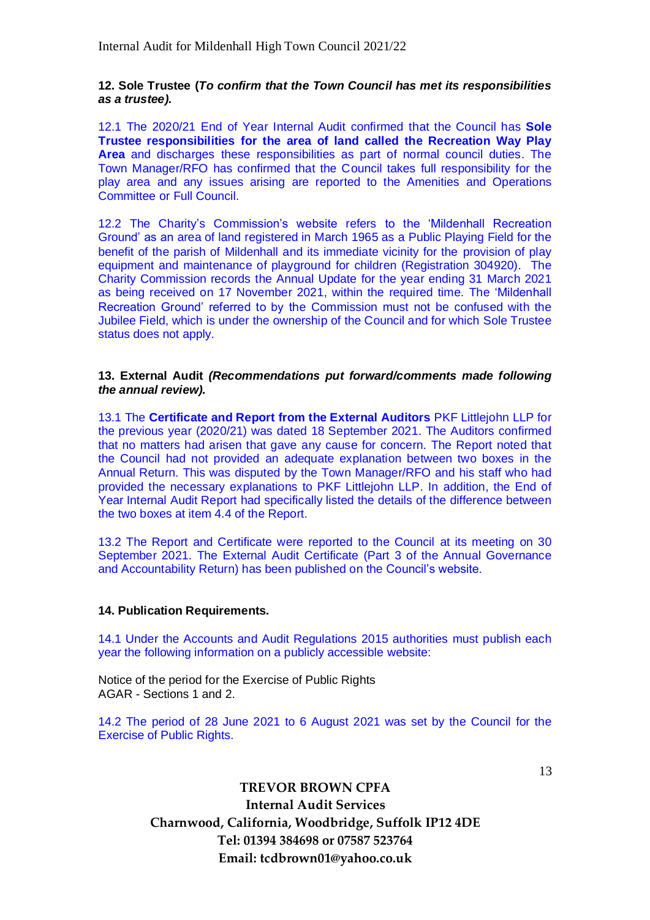#### **12. Sole Trustee (***To confirm that the Town Council has met its responsibilities as a trustee).*

12.1 The 2020/21 End of Year Internal Audit confirmed that the Council has **Sole Trustee responsibilities for the area of land called the Recreation Way Play Area** and discharges these responsibilities as part of normal council duties. The Town Manager/RFO has confirmed that the Council takes full responsibility for the play area and any issues arising are reported to the Amenities and Operations Committee or Full Council.

12.2 The Charity's Commission's website refers to the 'Mildenhall Recreation Ground' as an area of land registered in March 1965 as a Public Playing Field for the benefit of the parish of Mildenhall and its immediate vicinity for the provision of play equipment and maintenance of playground for children (Registration 304920). The Charity Commission records the Annual Update for the year ending 31 March 2021 as being received on 17 November 2021, within the required time. The 'Mildenhall Recreation Ground' referred to by the Commission must not be confused with the Jubilee Field, which is under the ownership of the Council and for which Sole Trustee status does not apply.

#### **13. External Audit** *(Recommendations put forward/comments made following the annual review).*

13.1 The **Certificate and Report from the External Auditors** PKF Littlejohn LLP for the previous year (2020/21) was dated 18 September 2021. The Auditors confirmed that no matters had arisen that gave any cause for concern. The Report noted that the Council had not provided an adequate explanation between two boxes in the Annual Return. This was disputed by the Town Manager/RFO and his staff who had provided the necessary explanations to PKF Littlejohn LLP. In addition, the End of Year Internal Audit Report had specifically listed the details of the difference between the two boxes at item 4.4 of the Report.

13.2 The Report and Certificate were reported to the Council at its meeting on 30 September 2021. The External Audit Certificate (Part 3 of the Annual Governance and Accountability Return) has been published on the Council's website.

### **14. Publication Requirements.**

14.1 Under the Accounts and Audit Regulations 2015 authorities must publish each year the following information on a publicly accessible website:

Notice of the period for the Exercise of Public Rights AGAR - Sections 1 and 2.

14.2 The period of 28 June 2021 to 6 August 2021 was set by the Council for the Exercise of Public Rights.